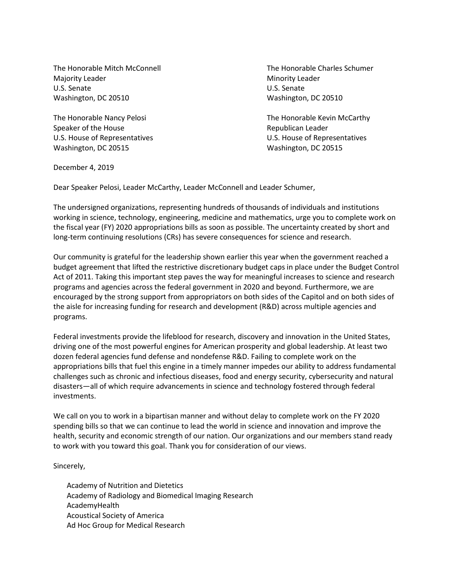Majority Leader **Minority Leader** Minority Leader U.S. Senate U.S. Senate Washington, DC 20510 Washington, DC 20510

Speaker of the House **Republican Leader** Republican Leader Washington, DC 20515 Washington, DC 20515

The Honorable Mitch McConnell The Honorable Charles Schumer

The Honorable Nancy Pelosi **The Honorable Kevin McCarthy** U.S. House of Representatives U.S. House of Representatives

December 4, 2019

Dear Speaker Pelosi, Leader McCarthy, Leader McConnell and Leader Schumer,

The undersigned organizations, representing hundreds of thousands of individuals and institutions working in science, technology, engineering, medicine and mathematics, urge you to complete work on the fiscal year (FY) 2020 appropriations bills as soon as possible. The uncertainty created by short and long-term continuing resolutions (CRs) has severe consequences for science and research.

Our community is grateful for the leadership shown earlier this year when the government reached a budget agreement that lifted the restrictive discretionary budget caps in place under the Budget Control Act of 2011. Taking this important step paves the way for meaningful increases to science and research programs and agencies across the federal government in 2020 and beyond. Furthermore, we are encouraged by the strong support from appropriators on both sides of the Capitol and on both sides of the aisle for increasing funding for research and development (R&D) across multiple agencies and programs.

Federal investments provide the lifeblood for research, discovery and innovation in the United States, driving one of the most powerful engines for American prosperity and global leadership. At least two dozen federal agencies fund defense and nondefense R&D. Failing to complete work on the appropriations bills that fuel this engine in a timely manner impedes our ability to address fundamental challenges such as chronic and infectious diseases, food and energy security, cybersecurity and natural disasters—all of which require advancements in science and technology fostered through federal investments.

We call on you to work in a bipartisan manner and without delay to complete work on the FY 2020 spending bills so that we can continue to lead the world in science and innovation and improve the health, security and economic strength of our nation. Our organizations and our members stand ready to work with you toward this goal. Thank you for consideration of our views.

Sincerely,

Academy of Nutrition and Dietetics Academy of Radiology and Biomedical Imaging Research AcademyHealth Acoustical Society of America Ad Hoc Group for Medical Research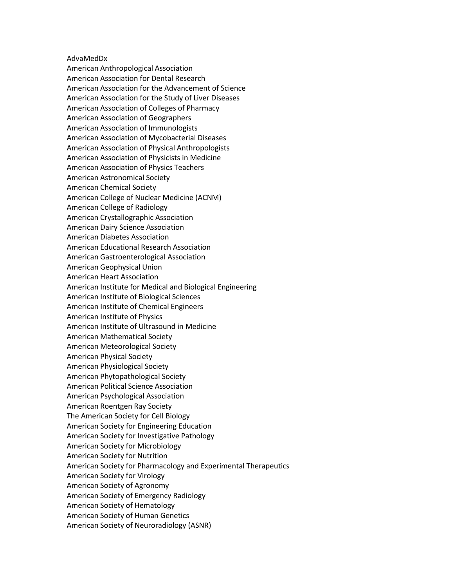## AdvaMedDx

American Anthropological Association American Association for Dental Research American Association for the Advancement of Science American Association for the Study of Liver Diseases American Association of Colleges of Pharmacy American Association of Geographers American Association of Immunologists American Association of Mycobacterial Diseases American Association of Physical Anthropologists American Association of Physicists in Medicine American Association of Physics Teachers American Astronomical Society American Chemical Society American College of Nuclear Medicine (ACNM) American College of Radiology American Crystallographic Association American Dairy Science Association American Diabetes Association American Educational Research Association American Gastroenterological Association American Geophysical Union American Heart Association American Institute for Medical and Biological Engineering American Institute of Biological Sciences American Institute of Chemical Engineers American Institute of Physics American Institute of Ultrasound in Medicine American Mathematical Society American Meteorological Society American Physical Society American Physiological Society American Phytopathological Society American Political Science Association American Psychological Association American Roentgen Ray Society The American Society for Cell Biology American Society for Engineering Education American Society for Investigative Pathology American Society for Microbiology American Society for Nutrition American Society for Pharmacology and Experimental Therapeutics American Society for Virology American Society of Agronomy American Society of Emergency Radiology American Society of Hematology American Society of Human Genetics American Society of Neuroradiology (ASNR)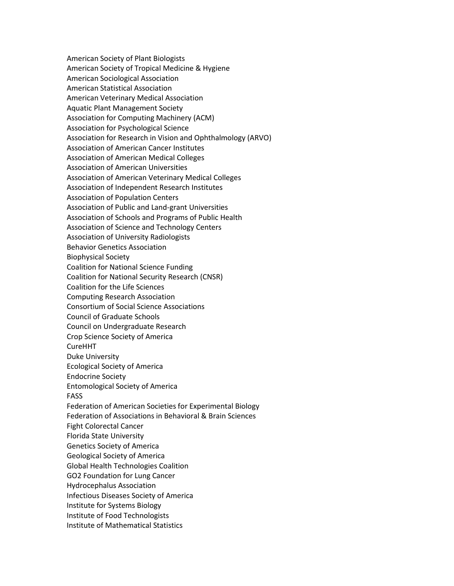American Society of Plant Biologists American Society of Tropical Medicine & Hygiene American Sociological Association American Statistical Association American Veterinary Medical Association Aquatic Plant Management Society Association for Computing Machinery (ACM) Association for Psychological Science Association for Research in Vision and Ophthalmology (ARVO) Association of American Cancer Institutes Association of American Medical Colleges Association of American Universities Association of American Veterinary Medical Colleges Association of Independent Research Institutes Association of Population Centers Association of Public and Land-grant Universities Association of Schools and Programs of Public Health Association of Science and Technology Centers Association of University Radiologists Behavior Genetics Association Biophysical Society Coalition for National Science Funding Coalition for National Security Research (CNSR) Coalition for the Life Sciences Computing Research Association Consortium of Social Science Associations Council of Graduate Schools Council on Undergraduate Research Crop Science Society of America CureHHT Duke University Ecological Society of America Endocrine Society Entomological Society of America FASS Federation of American Societies for Experimental Biology Federation of Associations in Behavioral & Brain Sciences Fight Colorectal Cancer Florida State University Genetics Society of America Geological Society of America Global Health Technologies Coalition GO2 Foundation for Lung Cancer Hydrocephalus Association Infectious Diseases Society of America Institute for Systems Biology Institute of Food Technologists Institute of Mathematical Statistics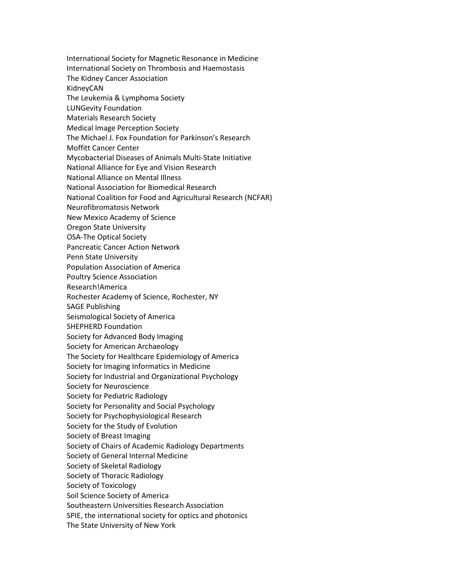International Society for Magnetic Resonance in Medicine International Society on Thrombosis and Haemostasis The Kidney Cancer Association KidneyCAN The Leukemia & Lymphoma Society LUNGevity Foundation Materials Research Society Medical Image Perception Society The Michael J. Fox Foundation for Parkinson's Research Moffitt Cancer Center Mycobacterial Diseases of Animals Multi-State Initiative National Alliance for Eye and Vision Research National Alliance on Mental Illness National Association for Biomedical Research National Coalition for Food and Agricultural Research (NCFAR) Neurofibromatosis Network New Mexico Academy of Science Oregon State University OSA-The Optical Society Pancreatic Cancer Action Network Penn State University Population Association of America Poultry Science Association Research!America Rochester Academy of Science, Rochester, NY SAGE Publishing Seismological Society of America SHEPHERD Foundation Society for Advanced Body Imaging Society for American Archaeology The Society for Healthcare Epidemiology of America Society for Imaging Informatics in Medicine Society for Industrial and Organizational Psychology Society for Neuroscience Society for Pediatric Radiology Society for Personality and Social Psychology Society for Psychophysiological Research Society for the Study of Evolution Society of Breast Imaging Society of Chairs of Academic Radiology Departments Society of General Internal Medicine Society of Skeletal Radiology Society of Thoracic Radiology Society of Toxicology Soil Science Society of America Southeastern Universities Research Association SPIE, the international society for optics and photonics The State University of New York